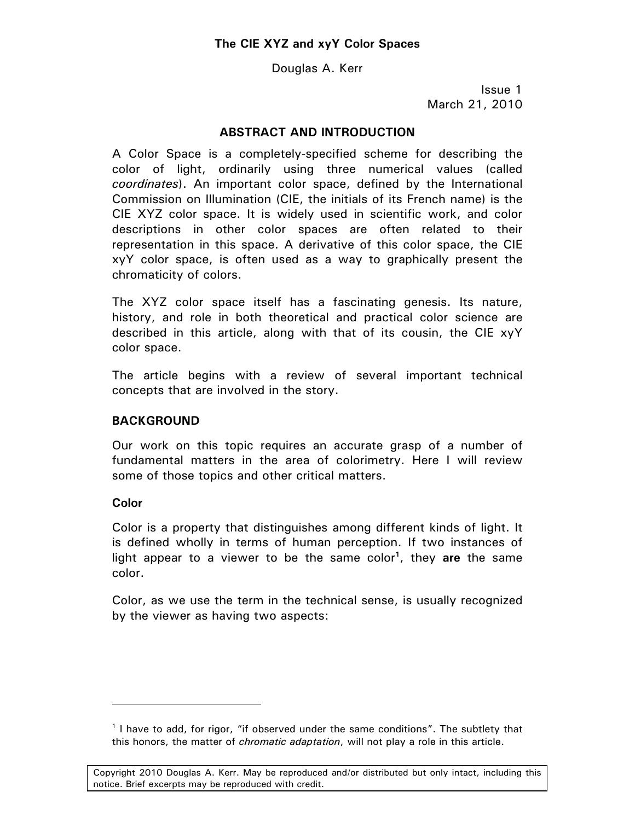Douglas A. Kerr

Issue 1 March 21, 2010

## **ABSTRACT AND INTRODUCTION**

A Color Space is a completely-specified scheme for describing the color of light, ordinarily using three numerical values (called *coordinates*). An important color space, defined by the International Commission on Illumination (CIE, the initials of its French name) is the CIE XYZ color space. It is widely used in scientific work, and color descriptions in other color spaces are often related to their representation in this space. A derivative of this color space, the CIE xyY color space, is often used as a way to graphically present the chromaticity of colors.

The XYZ color space itself has a fascinating genesis. Its nature, history, and role in both theoretical and practical color science are described in this article, along with that of its cousin, the CIE xyY color space.

The article begins with a review of several important technical concepts that are involved in the story.

#### **BACKGROUND**

Our work on this topic requires an accurate grasp of a number of fundamental matters in the area of colorimetry. Here I will review some of those topics and other critical matters.

#### **Color**

 $\overline{a}$ 

Color is a property that distinguishes among different kinds of light. It is defined wholly in terms of human perception. If two instances of light appear to a viewer to be the same color**<sup>1</sup>** , they **are** the same color.

Color, as we use the term in the technical sense, is usually recognized by the viewer as having two aspects:

<sup>&</sup>lt;sup>1</sup> I have to add, for rigor, "if observed under the same conditions". The subtlety that this honors, the matter of *chromatic adaptation*, will not play a role in this article.

Copyright 2010 Douglas A. Kerr. May be reproduced and/or distributed but only intact, including this notice. Brief excerpts may be reproduced with credit.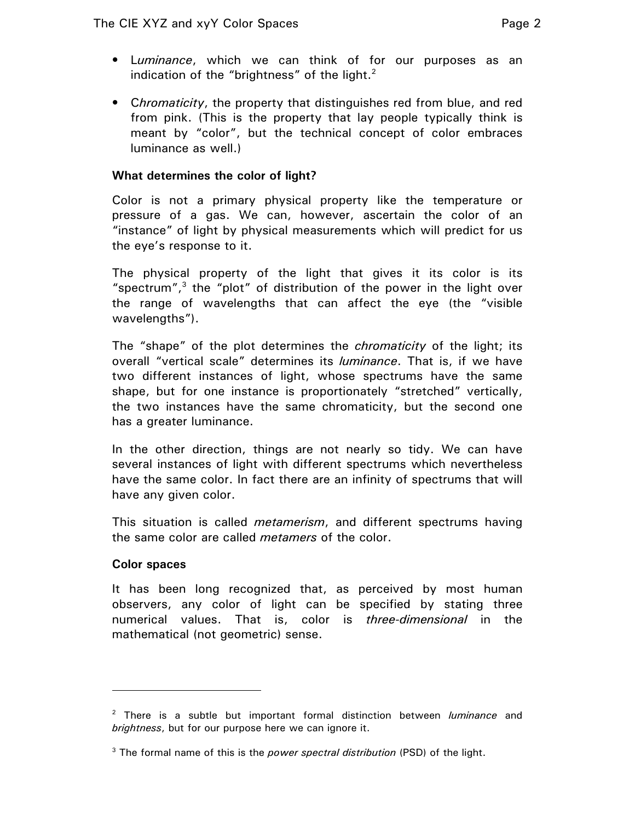- L*uminance*, which we can think of for our purposes as an indication of the "brightness" of the light. $2$
- C*hromaticity*, the property that distinguishes red from blue, and red from pink. (This is the property that lay people typically think is meant by "color", but the technical concept of color embraces luminance as well.)

## **What determines the color of light?**

Color is not a primary physical property like the temperature or pressure of a gas. We can, however, ascertain the color of an "instance" of light by physical measurements which will predict for us the eye's response to it.

The physical property of the light that gives it its color is its "spectrum", $3$  the "plot" of distribution of the power in the light over the range of wavelengths that can affect the eye (the "visible wavelengths").

The "shape" of the plot determines the *chromaticity* of the light; its overall "vertical scale" determines its *luminance*. That is, if we have two different instances of light, whose spectrums have the same shape, but for one instance is proportionately "stretched" vertically, the two instances have the same chromaticity, but the second one has a greater luminance.

In the other direction, things are not nearly so tidy. We can have several instances of light with different spectrums which nevertheless have the same color. In fact there are an infinity of spectrums that will have any given color.

This situation is called *metamerism*, and different spectrums having the same color are called *metamers* of the color.

#### **Color spaces**

-

It has been long recognized that, as perceived by most human observers, any color of light can be specified by stating three numerical values. That is, color is *three-dimensional* in the mathematical (not geometric) sense.

<sup>2</sup> There is a subtle but important formal distinction between *luminance* and *brightness*, but for our purpose here we can ignore it.

<sup>3</sup> The formal name of this is the *power spectral distribution* (PSD) of the light.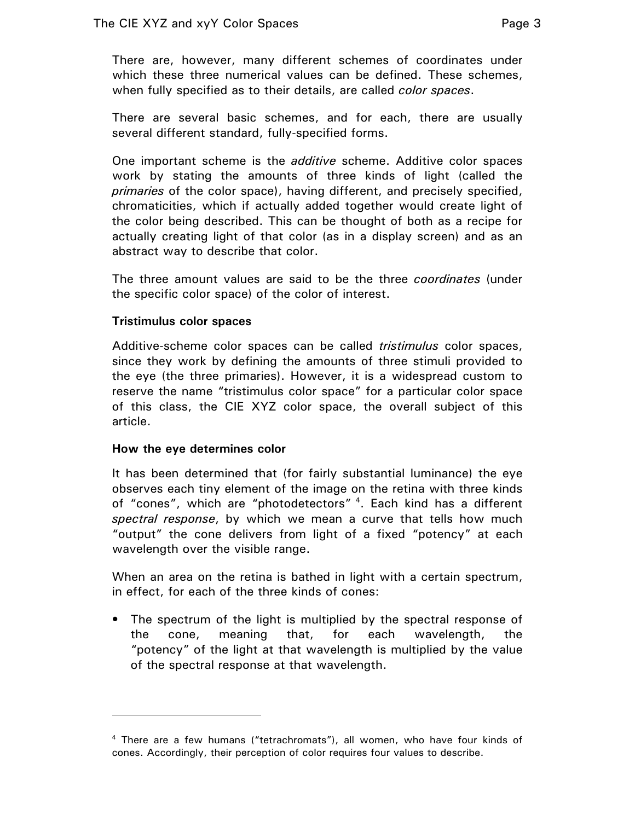There are, however, many different schemes of coordinates under which these three numerical values can be defined. These schemes, when fully specified as to their details, are called *color spaces*.

There are several basic schemes, and for each, there are usually several different standard, fully-specified forms.

One important scheme is the *additive* scheme. Additive color spaces work by stating the amounts of three kinds of light (called the *primaries* of the color space), having different, and precisely specified, chromaticities, which if actually added together would create light of the color being described. This can be thought of both as a recipe for actually creating light of that color (as in a display screen) and as an abstract way to describe that color.

The three amount values are said to be the three *coordinates* (under the specific color space) of the color of interest.

## **Tristimulus color spaces**

Additive-scheme color spaces can be called *tristimulus* color spaces, since they work by defining the amounts of three stimuli provided to the eye (the three primaries). However, it is a widespread custom to reserve the name "tristimulus color space" for a particular color space of this class, the CIE XYZ color space, the overall subject of this article.

#### **How the eye determines color**

 $\overline{a}$ 

It has been determined that (for fairly substantial luminance) the eye observes each tiny element of the image on the retina with three kinds of "cones", which are "photodetectors"<sup>4</sup>. Each kind has a different *spectral response*, by which we mean a curve that tells how much "output" the cone delivers from light of a fixed "potency" at each wavelength over the visible range.

When an area on the retina is bathed in light with a certain spectrum, in effect, for each of the three kinds of cones:

• The spectrum of the light is multiplied by the spectral response of the cone, meaning that, for each wavelength, the "potency" of the light at that wavelength is multiplied by the value of the spectral response at that wavelength.

<sup>4</sup> There are a few humans ("tetrachromats"), all women, who have four kinds of cones. Accordingly, their perception of color requires four values to describe.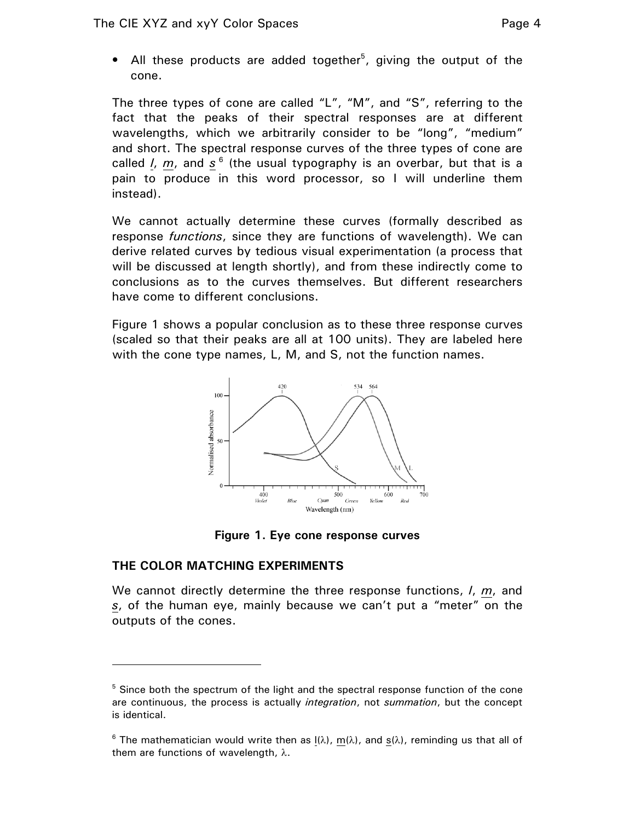• All these products are added together<sup>5</sup>, giving the output of the cone.

The three types of cone are called "L", "M", and "S", referring to the fact that the peaks of their spectral responses are at different wavelengths, which we arbitrarily consider to be "long", "medium" and short. The spectral response curves of the three types of cone are called *l, m,* and s  $^6$  (the usual typography is an overbar, but that is a pain to produce in this word processor, so I will underline them instead).

We cannot actually determine these curves (formally described as response *functions*, since they are functions of wavelength). We can derive related curves by tedious visual experimentation (a process that will be discussed at length shortly), and from these indirectly come to conclusions as to the curves themselves. But different researchers have come to different conclusions.

Figure 1 shows a popular conclusion as to these three response curves (scaled so that their peaks are all at 100 units). They are labeled here with the cone type names, L, M, and S, not the function names.



**Figure 1. Eye cone response curves** 

# **THE COLOR MATCHING EXPERIMENTS**

 $\overline{a}$ 

We cannot directly determine the three response functions, *l*, *m*, and *s*, of the human eye, mainly because we can't put a "meter" on the outputs of the cones.

<sup>&</sup>lt;sup>5</sup> Since both the spectrum of the light and the spectral response function of the cone are continuous, the process is actually *integration*, not *summation*, but the concept is identical.

<sup>&</sup>lt;sup>6</sup> The mathematician would write then as  $I(\lambda)$ , m( $\lambda$ ), and s( $\lambda$ ), reminding us that all of them are functions of wavelength,  $\lambda$ .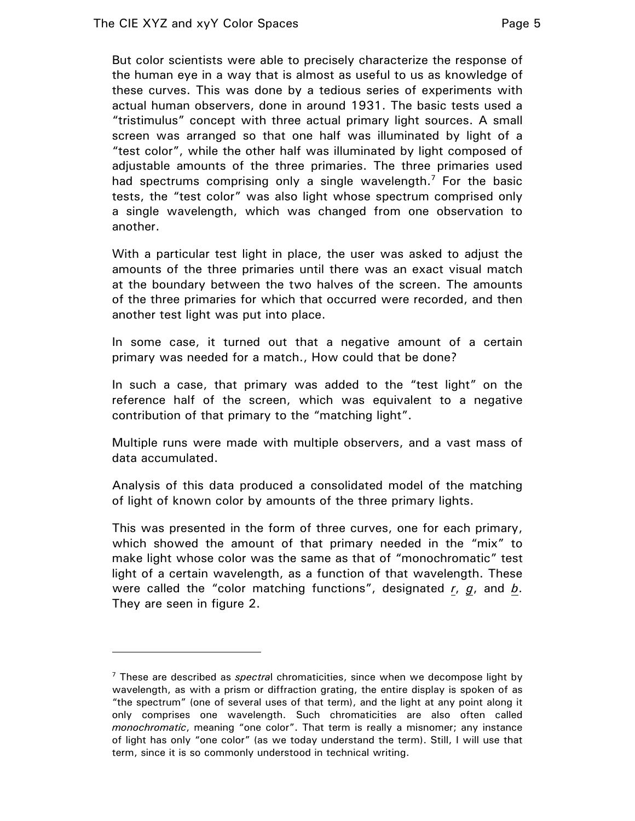$\overline{a}$ 

But color scientists were able to precisely characterize the response of the human eye in a way that is almost as useful to us as knowledge of these curves. This was done by a tedious series of experiments with actual human observers, done in around 1931. The basic tests used a "tristimulus" concept with three actual primary light sources. A small screen was arranged so that one half was illuminated by light of a "test color", while the other half was illuminated by light composed of adjustable amounts of the three primaries. The three primaries used had spectrums comprising only a single wavelength.<sup>7</sup> For the basic tests, the "test color" was also light whose spectrum comprised only a single wavelength, which was changed from one observation to another.

With a particular test light in place, the user was asked to adjust the amounts of the three primaries until there was an exact visual match at the boundary between the two halves of the screen. The amounts of the three primaries for which that occurred were recorded, and then another test light was put into place.

In some case, it turned out that a negative amount of a certain primary was needed for a match., How could that be done?

In such a case, that primary was added to the "test light" on the reference half of the screen, which was equivalent to a negative contribution of that primary to the "matching light".

Multiple runs were made with multiple observers, and a vast mass of data accumulated.

Analysis of this data produced a consolidated model of the matching of light of known color by amounts of the three primary lights.

This was presented in the form of three curves, one for each primary, which showed the amount of that primary needed in the "mix" to make light whose color was the same as that of "monochromatic" test light of a certain wavelength, as a function of that wavelength. These were called the "color matching functions", designated *r*, *g*, and *b*. They are seen in figure 2.

<sup>7</sup> These are described as *spectra*l chromaticities, since when we decompose light by wavelength, as with a prism or diffraction grating, the entire display is spoken of as "the spectrum" (one of several uses of that term), and the light at any point along it only comprises one wavelength. Such chromaticities are also often called *monochromatic*, meaning "one color". That term is really a misnomer; any instance of light has only "one color" (as we today understand the term). Still, I will use that term, since it is so commonly understood in technical writing.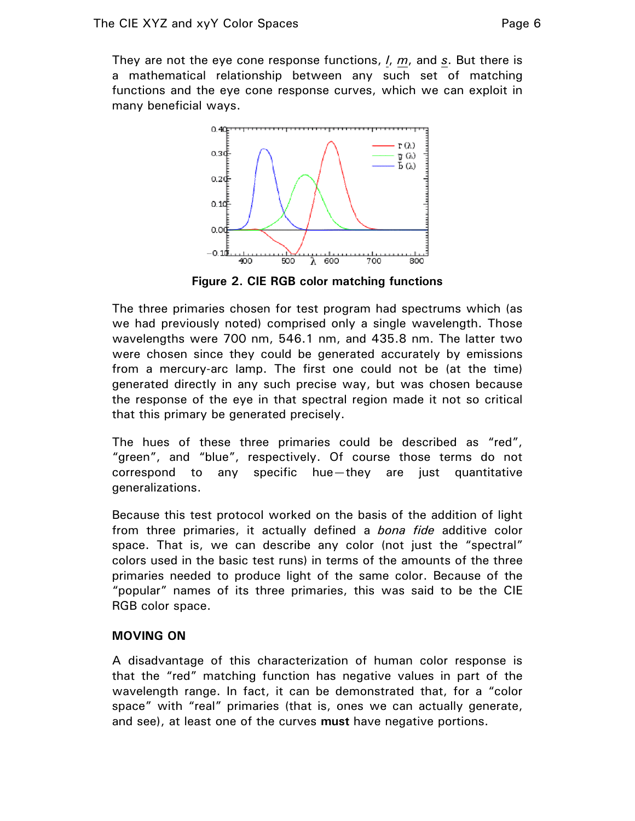They are not the eye cone response functions, *l*, *m*, and *s*. But there is a mathematical relationship between any such set of matching functions and the eye cone response curves, which we can exploit in many beneficial ways.



**Figure 2. CIE RGB color matching functions** 

The three primaries chosen for test program had spectrums which (as we had previously noted) comprised only a single wavelength. Those wavelengths were 700 nm, 546.1 nm, and 435.8 nm. The latter two were chosen since they could be generated accurately by emissions from a mercury-arc lamp. The first one could not be (at the time) generated directly in any such precise way, but was chosen because the response of the eye in that spectral region made it not so critical that this primary be generated precisely.

The hues of these three primaries could be described as "red", "green", and "blue", respectively. Of course those terms do not correspond to any specific hue—they are just quantitative generalizations.

Because this test protocol worked on the basis of the addition of light from three primaries, it actually defined a *bona fide* additive color space. That is, we can describe any color (not just the "spectral" colors used in the basic test runs) in terms of the amounts of the three primaries needed to produce light of the same color. Because of the "popular" names of its three primaries, this was said to be the CIE RGB color space.

#### **MOVING ON**

A disadvantage of this characterization of human color response is that the "red" matching function has negative values in part of the wavelength range. In fact, it can be demonstrated that, for a "color space" with "real" primaries (that is, ones we can actually generate, and see), at least one of the curves **must** have negative portions.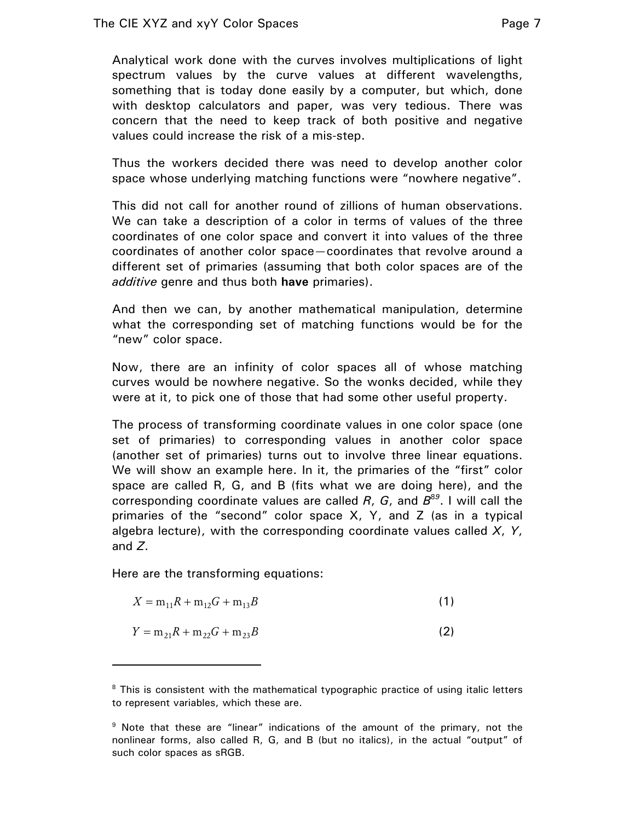Analytical work done with the curves involves multiplications of light spectrum values by the curve values at different wavelengths, something that is today done easily by a computer, but which, done with desktop calculators and paper, was very tedious. There was concern that the need to keep track of both positive and negative values could increase the risk of a mis-step.

Thus the workers decided there was need to develop another color space whose underlying matching functions were "nowhere negative".

This did not call for another round of zillions of human observations. We can take a description of a color in terms of values of the three coordinates of one color space and convert it into values of the three coordinates of another color space—coordinates that revolve around a different set of primaries (assuming that both color spaces are of the *additive* genre and thus both **have** primaries).

And then we can, by another mathematical manipulation, determine what the corresponding set of matching functions would be for the "new" color space.

Now, there are an infinity of color spaces all of whose matching curves would be nowhere negative. So the wonks decided, while they were at it, to pick one of those that had some other useful property.

The process of transforming coordinate values in one color space (one set of primaries) to corresponding values in another color space (another set of primaries) turns out to involve three linear equations. We will show an example here. In it, the primaries of the "first" color space are called R, G, and B (fits what we are doing here), and the corresponding coordinate values are called *R*, *G*, and *B*<sup>8</sup>*<sup>9</sup>* . I will call the primaries of the "second" color space X, Y, and Z (as in a typical algebra lecture), with the corresponding coordinate values called *X*, *Y*, and *Z*.

Here are the transforming equations:

 $\overline{a}$ 

$$
X = m_{11}R + m_{12}G + m_{13}B
$$
 (1)

$$
Y = m_{21}R + m_{22}G + m_{23}B
$$
 (2)

<sup>&</sup>lt;sup>8</sup> This is consistent with the mathematical typographic practice of using italic letters to represent variables, which these are.

<sup>&</sup>lt;sup>9</sup> Note that these are "linear" indications of the amount of the primary, not the nonlinear forms, also called R, G, and B (but no italics), in the actual "output" of such color spaces as sRGB.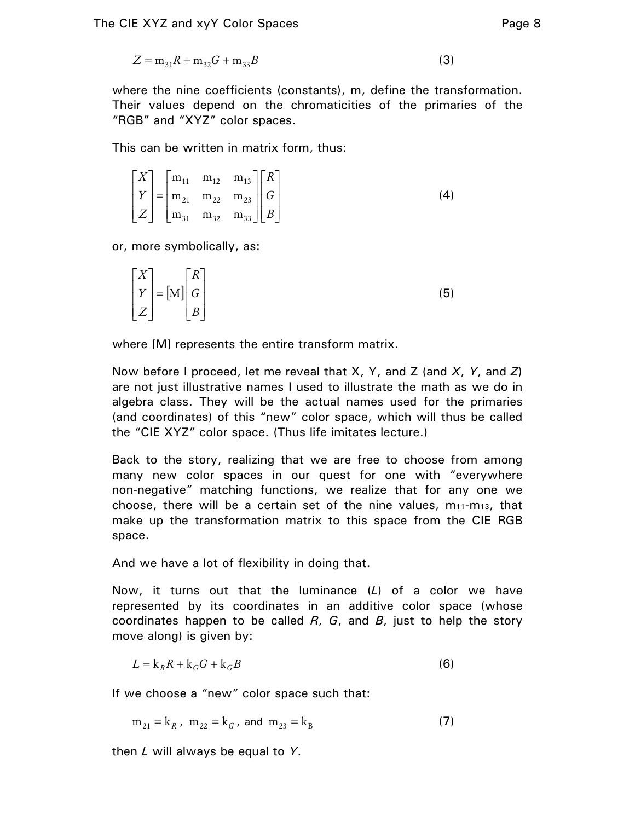$$
Z = m_{31}R + m_{32}G + m_{33}B
$$
 (3)

where the nine coefficients (constants), m, define the transformation. Their values depend on the chromaticities of the primaries of the "RGB" and "XYZ" color spaces.

This can be written in matrix form, thus:

$$
\begin{bmatrix} X \ Y \ Z \end{bmatrix} = \begin{bmatrix} m_{11} & m_{12} & m_{13} \\ m_{21} & m_{22} & m_{23} \\ m_{31} & m_{32} & m_{33} \end{bmatrix} \begin{bmatrix} R \\ G \\ B \end{bmatrix}
$$
 (4)

or, more symbolically, as:

|                                                                                             | (5) |
|---------------------------------------------------------------------------------------------|-----|
| $\begin{bmatrix} X \\ Y \\ Z \end{bmatrix} = [M] \begin{bmatrix} R \\ G \\ B \end{bmatrix}$ |     |

where [M] represents the entire transform matrix.

Now before I proceed, let me reveal that X, Y, and Z (and *X*, *Y*, and *Z*) are not just illustrative names I used to illustrate the math as we do in algebra class. They will be the actual names used for the primaries (and coordinates) of this "new" color space, which will thus be called the "CIE XYZ" color space. (Thus life imitates lecture.)

Back to the story, realizing that we are free to choose from among many new color spaces in our quest for one with "everywhere non-negative" matching functions, we realize that for any one we choose, there will be a certain set of the nine values,  $m_{11}$ -m<sub>13</sub>, that make up the transformation matrix to this space from the CIE RGB space.

And we have a lot of flexibility in doing that.

Now, it turns out that the luminance (*L*) of a color we have represented by its coordinates in an additive color space (whose coordinates happen to be called *R*, *G*, and *B*, just to help the story move along) is given by:

$$
L = k_R R + k_G G + k_G B \tag{6}
$$

If we choose a "new" color space such that:

 $m_{21} = k_R$ ,  $m_{22} = k_G$ , and  $m_{23} = k_B$  (7)

then *L* will always be equal to *Y*.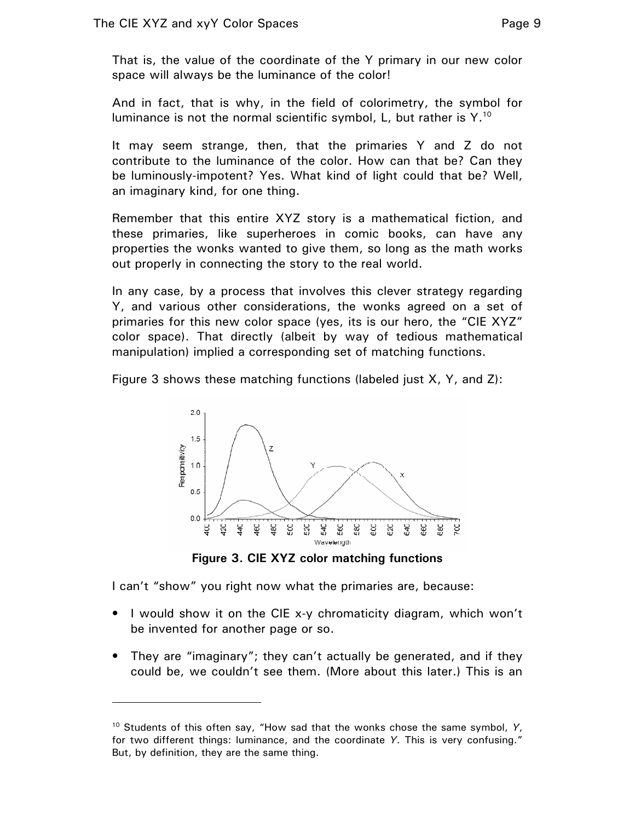That is, the value of the coordinate of the Y primary in our new color space will always be the luminance of the color!

And in fact, that is why, in the field of colorimetry, the symbol for luminance is not the normal scientific symbol, L, but rather is  $Y<sup>10</sup>$ 

It may seem strange, then, that the primaries Y and Z do not contribute to the luminance of the color. How can that be? Can they be luminously-impotent? Yes. What kind of light could that be? Well, an imaginary kind, for one thing.

Remember that this entire XYZ story is a mathematical fiction, and these primaries, like superheroes in comic books, can have any properties the wonks wanted to give them, so long as the math works out properly in connecting the story to the real world.

In any case, by a process that involves this clever strategy regarding Y, and various other considerations, the wonks agreed on a set of primaries for this new color space (yes, its is our hero, the "CIE XYZ" color space). That directly (albeit by way of tedious mathematical manipulation) implied a corresponding set of matching functions.

Figure 3 shows these matching functions (labeled just X, Y, and Z):



**Figure 3. CIE XYZ color matching functions** 

I can't "show" you right now what the primaries are, because:

 $\overline{a}$ 

- I would show it on the CIE x-y chromaticity diagram, which won't be invented for another page or so.
- They are "imaginary"; they can't actually be generated, and if they could be, we couldn't see them. (More about this later.) This is an

<sup>10</sup> Students of this often say, "How sad that the wonks chose the same symbol, *Y*, for two different things: luminance, and the coordinate *Y*. This is very confusing." But, by definition, they are the same thing.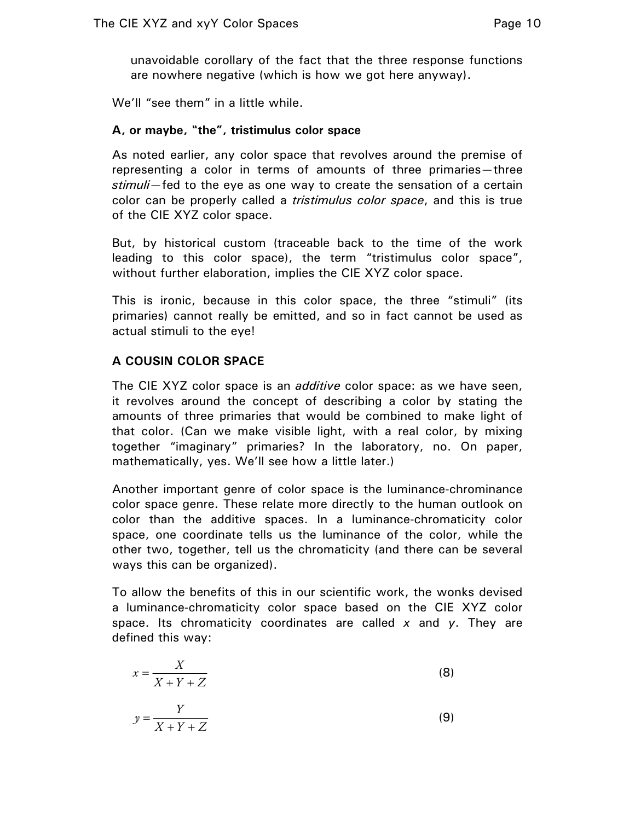unavoidable corollary of the fact that the three response functions are nowhere negative (which is how we got here anyway).

We'll "see them" in a little while.

## **A, or maybe, "the", tristimulus color space**

As noted earlier, any color space that revolves around the premise of representing a color in terms of amounts of three primaries—three *stimuli*—fed to the eye as one way to create the sensation of a certain color can be properly called a *tristimulus color space*, and this is true of the CIE XYZ color space.

But, by historical custom (traceable back to the time of the work leading to this color space), the term "tristimulus color space", without further elaboration, implies the CIE XYZ color space.

This is ironic, because in this color space, the three "stimuli" (its primaries) cannot really be emitted, and so in fact cannot be used as actual stimuli to the eye!

# **A COUSIN COLOR SPACE**

The CIE XYZ color space is an *additive* color space: as we have seen, it revolves around the concept of describing a color by stating the amounts of three primaries that would be combined to make light of that color. (Can we make visible light, with a real color, by mixing together "imaginary" primaries? In the laboratory, no. On paper, mathematically, yes. We'll see how a little later.)

Another important genre of color space is the luminance-chrominance color space genre. These relate more directly to the human outlook on color than the additive spaces. In a luminance-chromaticity color space, one coordinate tells us the luminance of the color, while the other two, together, tell us the chromaticity (and there can be several ways this can be organized).

To allow the benefits of this in our scientific work, the wonks devised a luminance-chromaticity color space based on the CIE XYZ color space. Its chromaticity coordinates are called *x* and *y*. They are defined this way:

$$
x = \frac{X}{X + Y + Z} \tag{8}
$$

$$
y = \frac{Y}{X + Y + Z} \tag{9}
$$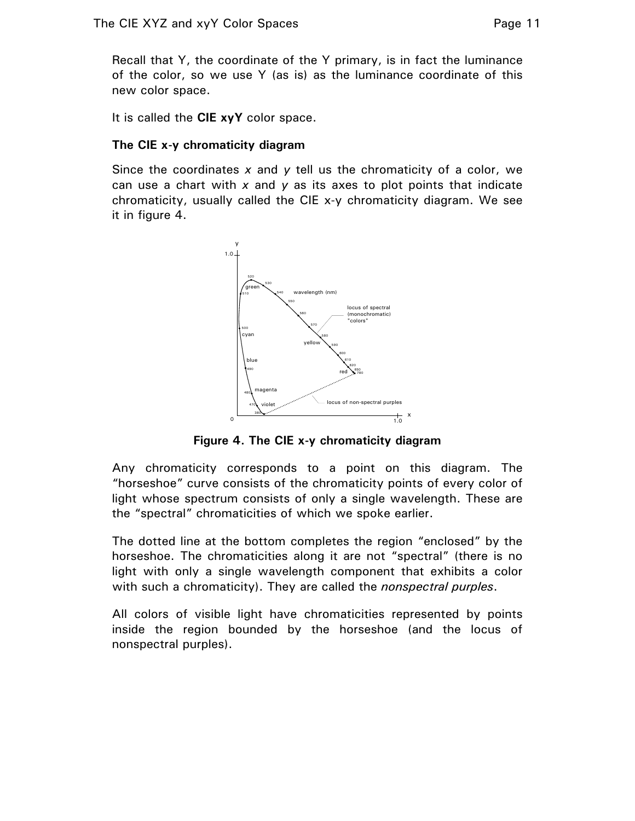Recall that Y, the coordinate of the Y primary, is in fact the luminance of the color, so we use Y (as is) as the luminance coordinate of this new color space.

It is called the **CIE xyY** color space.

# **The CIE x-y chromaticity diagram**

Since the coordinates *x* and *y* tell us the chromaticity of a color, we can use a chart with *x* and *y* as its axes to plot points that indicate chromaticity, usually called the CIE x-y chromaticity diagram. We see it in figure 4.



**Figure 4. The CIE x-y chromaticity diagram** 

Any chromaticity corresponds to a point on this diagram. The "horseshoe" curve consists of the chromaticity points of every color of light whose spectrum consists of only a single wavelength. These are the "spectral" chromaticities of which we spoke earlier.

The dotted line at the bottom completes the region "enclosed" by the horseshoe. The chromaticities along it are not "spectral" (there is no light with only a single wavelength component that exhibits a color with such a chromaticity). They are called the *nonspectral purples*.

All colors of visible light have chromaticities represented by points inside the region bounded by the horseshoe (and the locus of nonspectral purples).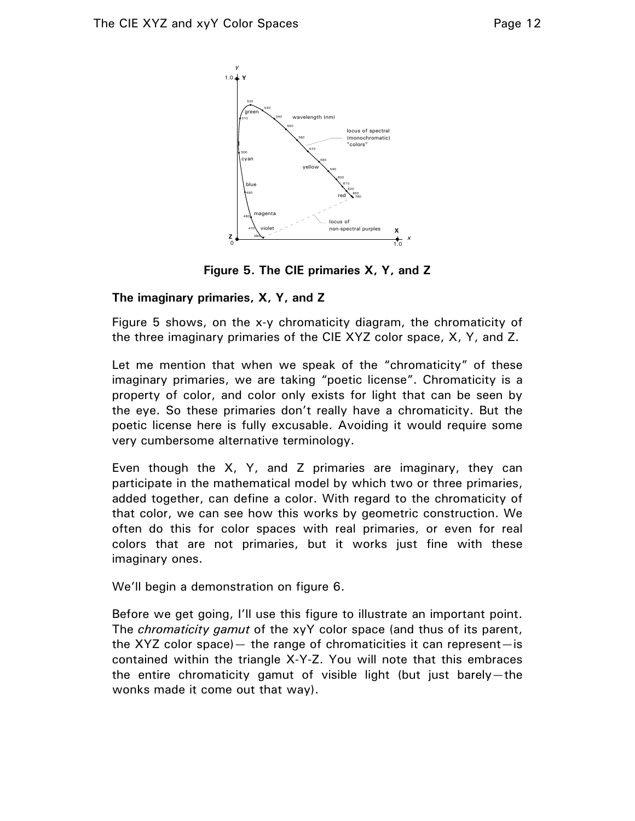

**Figure 5. The CIE primaries X, Y, and Z** 

## **The imaginary primaries, X, Y, and Z**

Figure 5 shows, on the x-y chromaticity diagram, the chromaticity of the three imaginary primaries of the CIE XYZ color space, X, Y, and Z.

Let me mention that when we speak of the "chromaticity" of these imaginary primaries, we are taking "poetic license". Chromaticity is a property of color, and color only exists for light that can be seen by the eye. So these primaries don't really have a chromaticity. But the poetic license here is fully excusable. Avoiding it would require some very cumbersome alternative terminology.

Even though the X, Y, and Z primaries are imaginary, they can participate in the mathematical model by which two or three primaries, added together, can define a color. With regard to the chromaticity of that color, we can see how this works by geometric construction. We often do this for color spaces with real primaries, or even for real colors that are not primaries, but it works just fine with these imaginary ones.

We'll begin a demonstration on figure 6.

Before we get going, I'll use this figure to illustrate an important point. The *chromaticity gamut* of the xyY color space (and thus of its parent, the XYZ color space)  $-$  the range of chromaticities it can represent  $-$  is contained within the triangle X-Y-Z. You will note that this embraces the entire chromaticity gamut of visible light (but just barely—the wonks made it come out that way).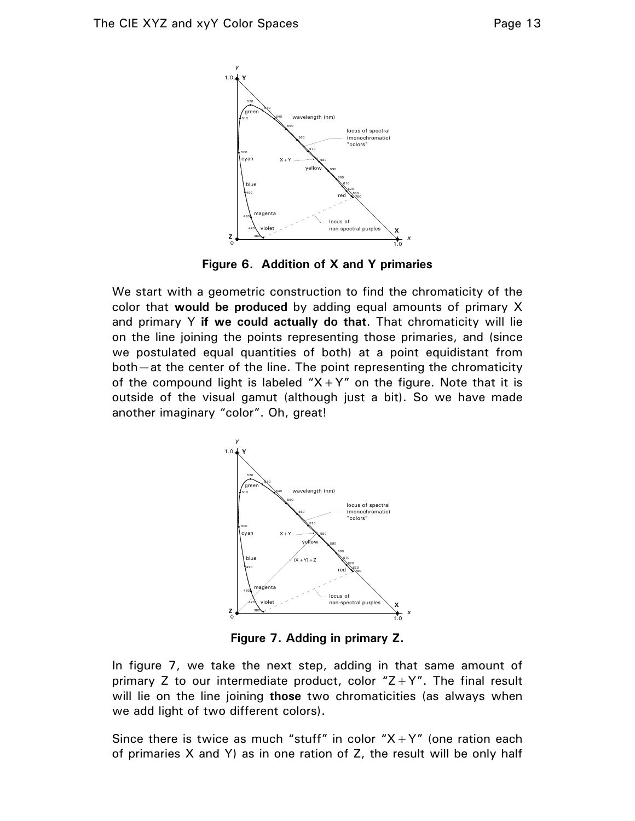

**Figure 6. Addition of X and Y primaries** 

We start with a geometric construction to find the chromaticity of the color that **would be produced** by adding equal amounts of primary X and primary Y **if we could actually do that**. That chromaticity will lie on the line joining the points representing those primaries, and (since we postulated equal quantities of both) at a point equidistant from both—at the center of the line. The point representing the chromaticity of the compound light is labeled " $X+Y$ " on the figure. Note that it is outside of the visual gamut (although just a bit). So we have made another imaginary "color". Oh, great!



**Figure 7. Adding in primary Z.** 

In figure 7, we take the next step, adding in that same amount of primary Z to our intermediate product, color  $Z+Y''$ . The final result will lie on the line joining **those** two chromaticities (as always when we add light of two different colors).

Since there is twice as much "stuff" in color  $X+Y''$  (one ration each of primaries X and Y) as in one ration of Z, the result will be only half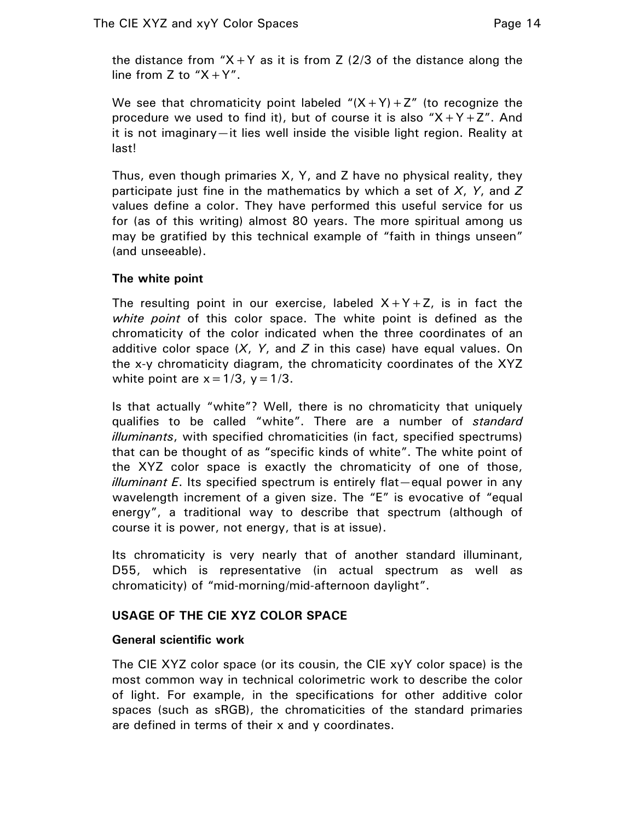the distance from "X + Y as it is from Z (2/3 of the distance along the line from Z to  $X+Y''$ .

We see that chromaticity point labeled  $''(X+Y)+Z''$  (to recognize the procedure we used to find it), but of course it is also " $X+Y+Z$ ". And it is not imaginary—it lies well inside the visible light region. Reality at last!

Thus, even though primaries X, Y, and Z have no physical reality, they participate just fine in the mathematics by which a set of *X*, *Y*, and *Z* values define a color. They have performed this useful service for us for (as of this writing) almost 80 years. The more spiritual among us may be gratified by this technical example of "faith in things unseen" (and unseeable).

# **The white point**

The resulting point in our exercise, labeled  $X+Y+Z$ , is in fact the *white point* of this color space. The white point is defined as the chromaticity of the color indicated when the three coordinates of an additive color space (*X*, *Y*, and *Z* in this case) have equal values. On the x-y chromaticity diagram, the chromaticity coordinates of the XYZ white point are  $x = 1/3$ ,  $y = 1/3$ .

Is that actually "white"? Well, there is no chromaticity that uniquely qualifies to be called "white". There are a number of *standard illuminants*, with specified chromaticities (in fact, specified spectrums) that can be thought of as "specific kinds of white". The white point of the XYZ color space is exactly the chromaticity of one of those, *illuminant E*. Its specified spectrum is entirely flat—equal power in any wavelength increment of a given size. The "E" is evocative of "equal energy", a traditional way to describe that spectrum (although of course it is power, not energy, that is at issue).

Its chromaticity is very nearly that of another standard illuminant, D55, which is representative (in actual spectrum as well as chromaticity) of "mid-morning/mid-afternoon daylight".

# **USAGE OF THE CIE XYZ COLOR SPACE**

# **General scientific work**

The CIE XYZ color space (or its cousin, the CIE xyY color space) is the most common way in technical colorimetric work to describe the color of light. For example, in the specifications for other additive color spaces (such as sRGB), the chromaticities of the standard primaries are defined in terms of their x and y coordinates.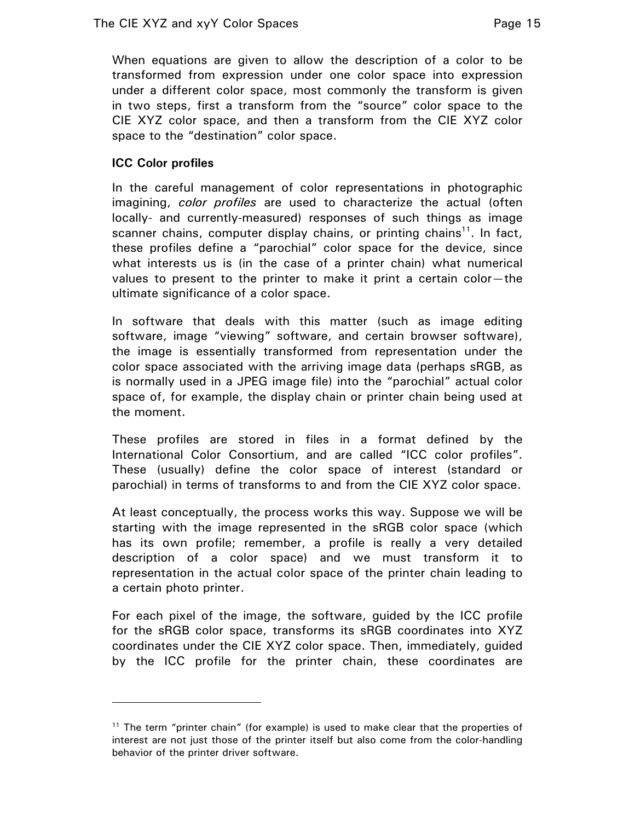When equations are given to allow the description of a color to be transformed from expression under one color space into expression under a different color space, most commonly the transform is given in two steps, first a transform from the "source" color space to the CIE XYZ color space, and then a transform from the CIE XYZ color space to the "destination" color space.

## **ICC Color profiles**

 $\overline{a}$ 

In the careful management of color representations in photographic imagining, *color profiles* are used to characterize the actual (often locally- and currently-measured) responses of such things as image scanner chains, computer display chains, or printing chains<sup>11</sup>. In fact, these profiles define a "parochial" color space for the device, since what interests us is (in the case of a printer chain) what numerical values to present to the printer to make it print a certain color—the ultimate significance of a color space.

In software that deals with this matter (such as image editing software, image "viewing" software, and certain browser software), the image is essentially transformed from representation under the color space associated with the arriving image data (perhaps sRGB, as is normally used in a JPEG image file) into the "parochial" actual color space of, for example, the display chain or printer chain being used at the moment.

These profiles are stored in files in a format defined by the International Color Consortium, and are called "ICC color profiles". These (usually) define the color space of interest (standard or parochial) in terms of transforms to and from the CIE XYZ color space.

At least conceptually, the process works this way. Suppose we will be starting with the image represented in the sRGB color space (which has its own profile; remember, a profile is really a very detailed description of a color space) and we must transform it to representation in the actual color space of the printer chain leading to a certain photo printer.

For each pixel of the image, the software, guided by the ICC profile for the sRGB color space, transforms its sRGB coordinates into XYZ coordinates under the CIE XYZ color space. Then, immediately, guided by the ICC profile for the printer chain, these coordinates are

 $11$  The term "printer chain" (for example) is used to make clear that the properties of interest are not just those of the printer itself but also come from the color-handling behavior of the printer driver software.